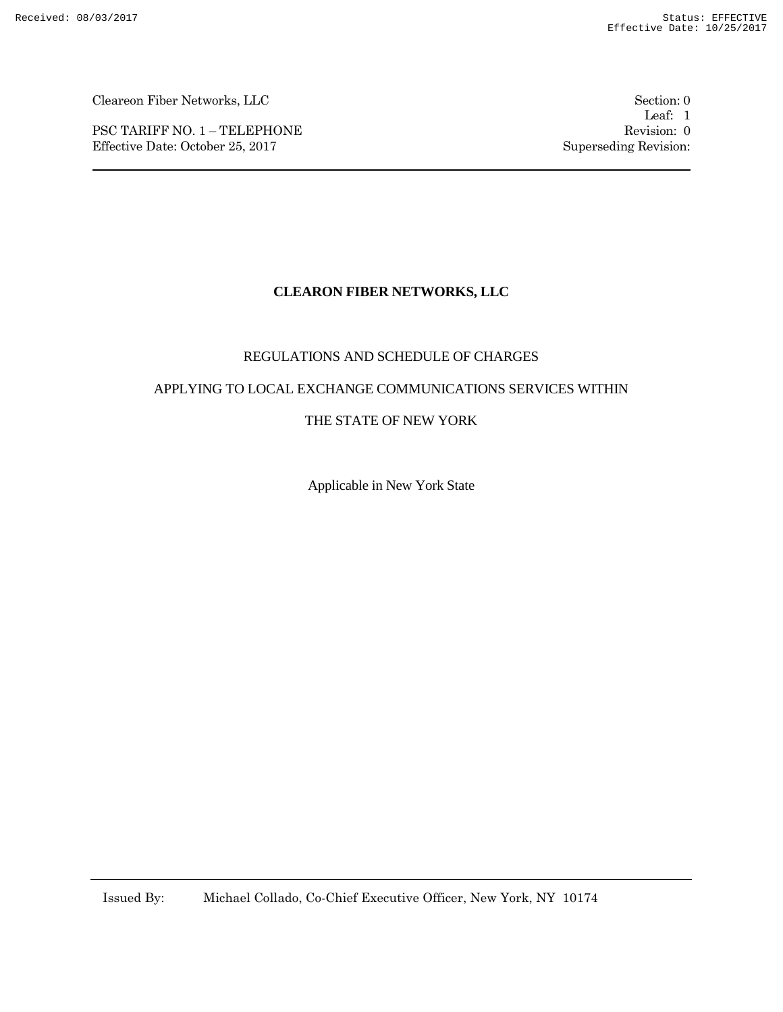PSC TARIFF NO. 1 – TELEPHONE Revision: 0 Effective Date: October 25, 2017 Superseding Revision:

Leaf: 1

# **CLEARON FIBER NETWORKS, LLC**

#### REGULATIONS AND SCHEDULE OF CHARGES

#### APPLYING TO LOCAL EXCHANGE COMMUNICATIONS SERVICES WITHIN

#### THE STATE OF NEW YORK

Applicable in New York State

Issued By: Michael Collado, Co-Chief Executive Officer, New York, NY 10174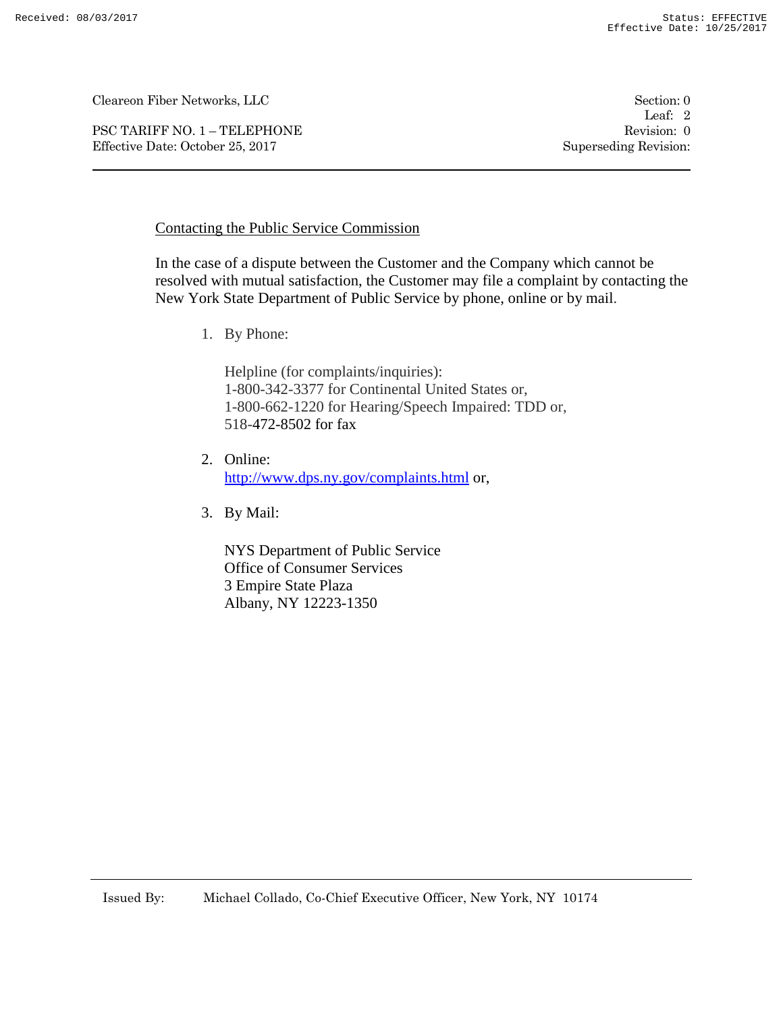PSC TARIFF NO. 1 – TELEPHONE Revision: 0 Effective Date: October 25, 2017 Superseding Revision:

Leaf: 2

### Contacting the Public Service Commission

In the case of a dispute between the Customer and the Company which cannot be resolved with mutual satisfaction, the Customer may file a complaint by contacting the New York State Department of Public Service by phone, online or by mail.

1. By Phone:

Helpline (for complaints/inquiries): 1-800-342-3377 for Continental United States or, 1-800-662-1220 for Hearing/Speech Impaired: TDD or, 518-472-8502 for fax

- 2. Online: http://www.dps.ny.gov/complaints.html or,
- 3. By Mail:

NYS Department of Public Service Office of Consumer Services 3 Empire State Plaza Albany, NY 12223-1350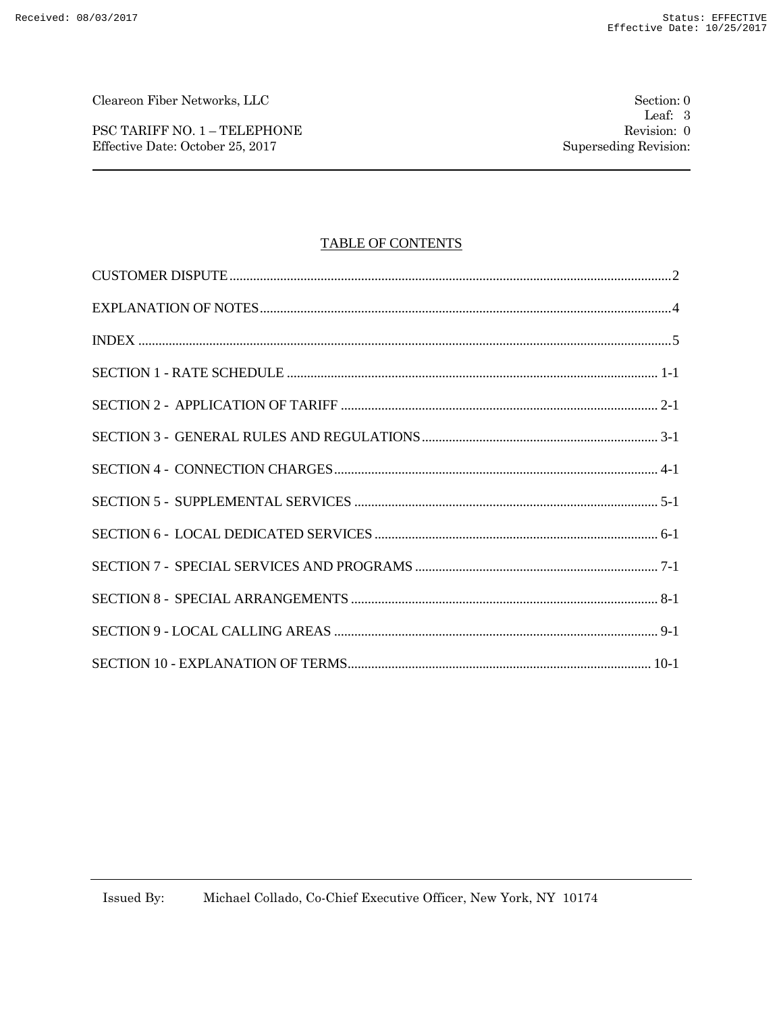PSC TARIFF NO. 1 – TELEPHONE Revision: 0 Effective Date: October 25, 2017 Superseding Revision:

### TABLE OF CONTENTS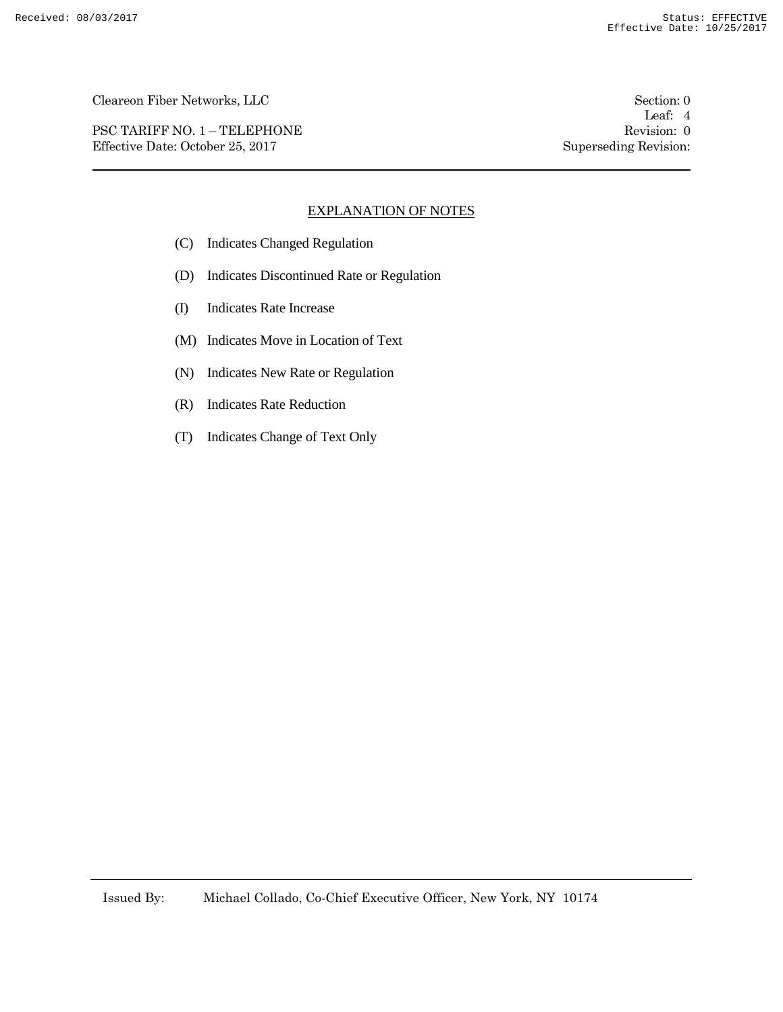PSC TARIFF NO. 1 – TELEPHONE Revision: 0 Effective Date: October 25, 2017 Superseding Revision:

Leaf: 4

### EXPLANATION OF NOTES

- (C) Indicates Changed Regulation
- (D) Indicates Discontinued Rate or Regulation
- (I) Indicates Rate Increase
- (M) Indicates Move in Location of Text
- (N) Indicates New Rate or Regulation
- (R) Indicates Rate Reduction
- (T) Indicates Change of Text Only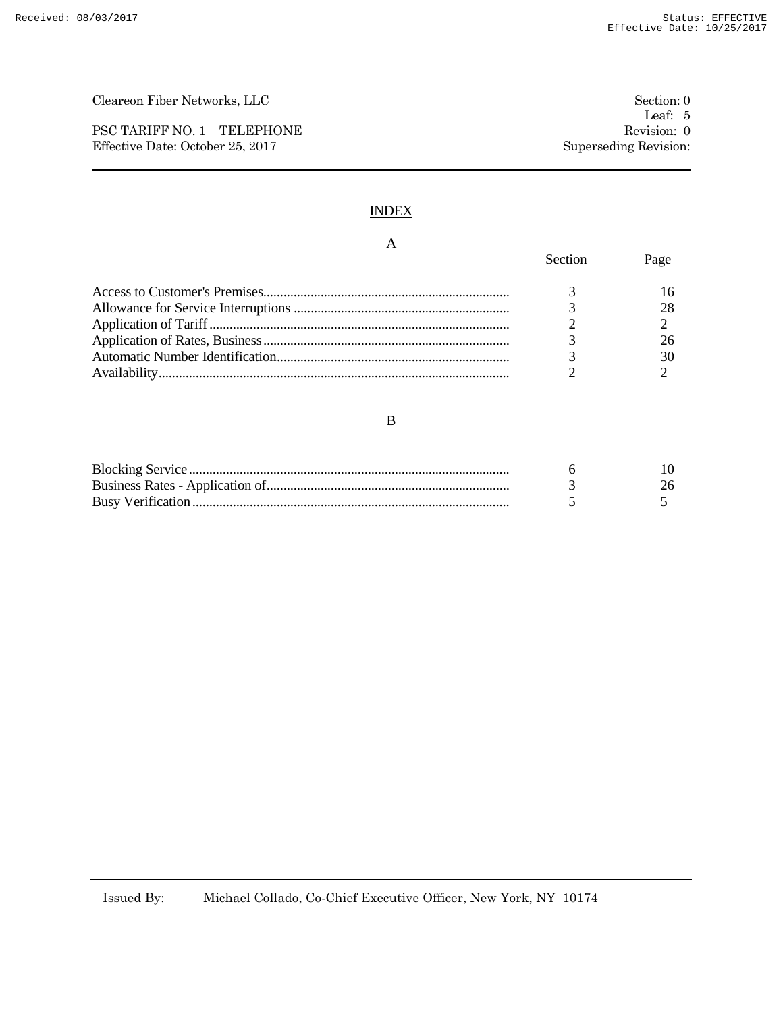PSC TARIFF NO. 1 – TELEPHONE Revision: 0 Effective Date: October 25, 2017 Superseding Revision:

### INDEX

# A

| Section | rage |
|---------|------|
|         |      |
|         |      |
|         |      |
|         |      |
|         |      |
|         |      |

#### $\, {\bf B}$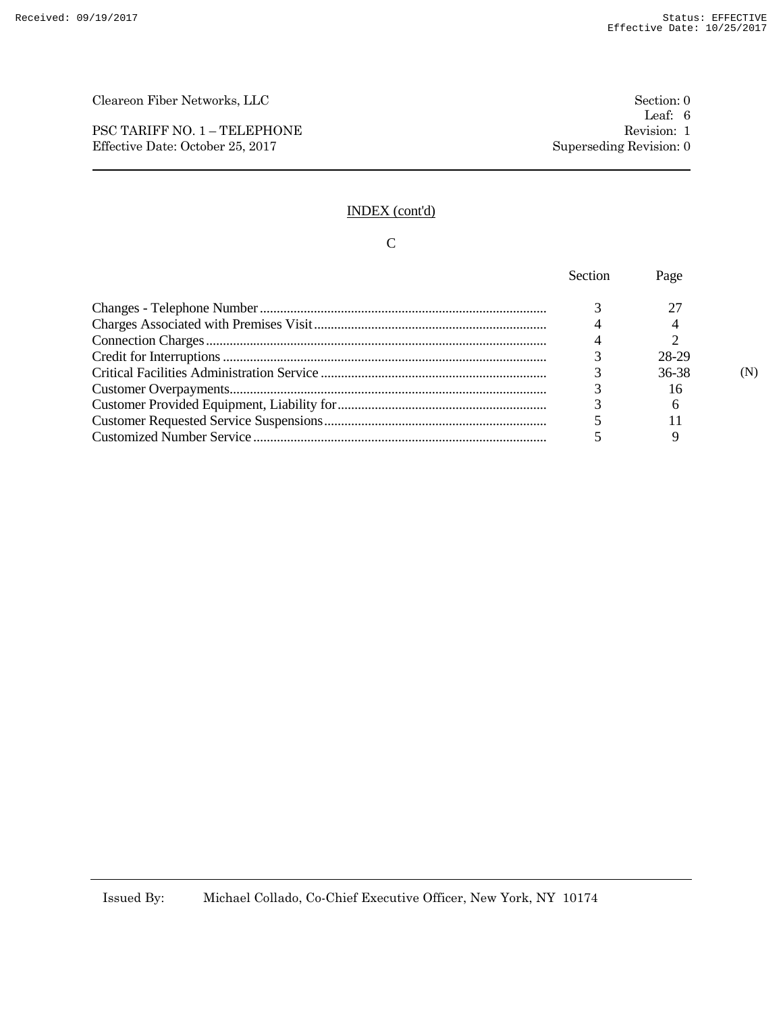PSC TARIFF NO. 1 – TELEPHONE Revision: 1 Effective Date: October 25, 2017 Superseding Revision: 0

# INDEX (cont'd)

# C

| Section | Page  |  |
|---------|-------|--|
|         |       |  |
|         |       |  |
|         |       |  |
|         | 28-29 |  |
|         | 36-38 |  |
|         | 16    |  |
|         | 6     |  |
|         |       |  |
|         |       |  |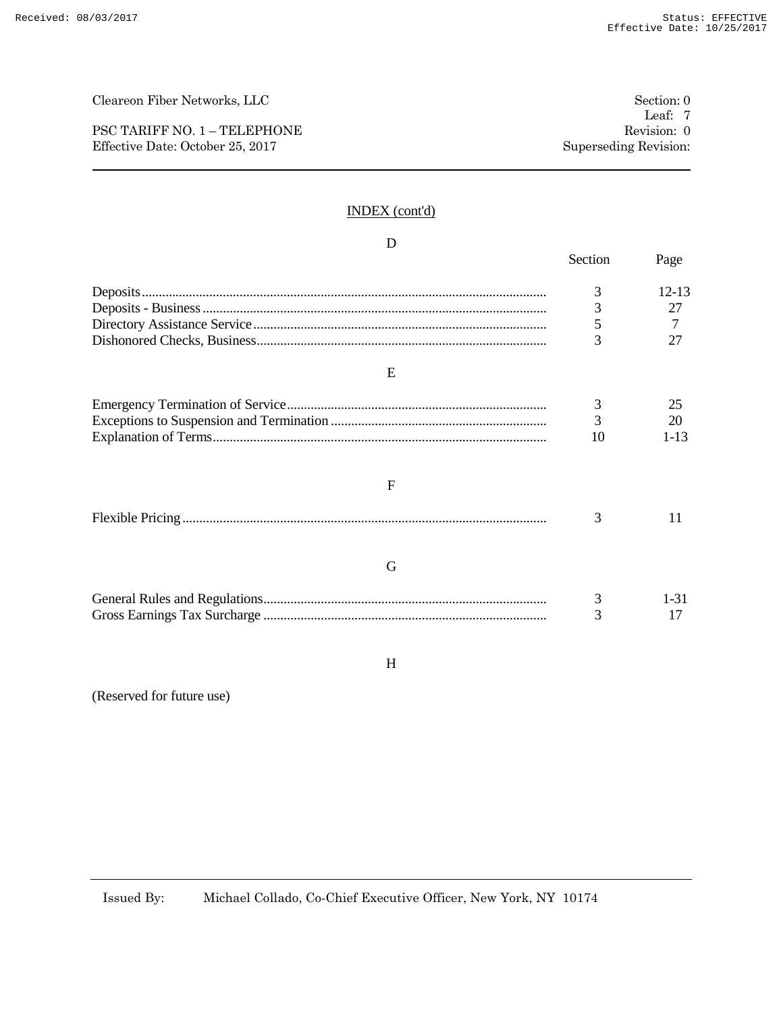PSC TARIFF NO. 1 – TELEPHONE Revision: 0 Effective Date: October 25, 2017 Superseding Revision:

### INDEX (cont'd)

| D            |         |           |
|--------------|---------|-----------|
|              | Section | Page      |
|              | 3       | $12 - 13$ |
|              | 3       | 27        |
|              | 5       |           |
|              | 3       | 27        |
| E            |         |           |
|              | 3       | 25        |
|              | 3       | 20        |
|              | 10      | $1 - 13$  |
| $\mathbf{F}$ |         |           |
|              | 3       | 11        |
| G            |         |           |
|              | 3       | $1 - 31$  |
|              | 3       | 17        |

#### H

(Reserved for future use)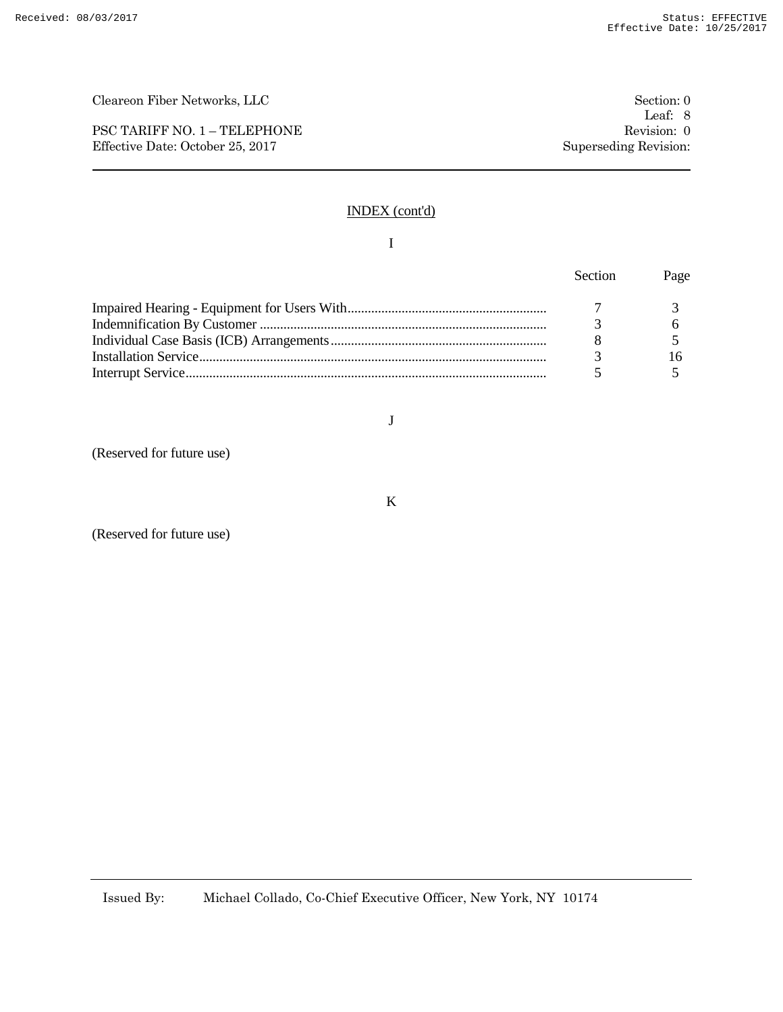PSC TARIFF NO. 1 – TELEPHONE Revision: 0 Effective Date: October 25, 2017 Superseding Revision:

### INDEX (cont'd)

#### I

| <b>Section</b> | Page |
|----------------|------|
|                |      |
|                |      |
|                |      |
|                |      |
|                |      |

J

(Reserved for future use)

K

(Reserved for future use)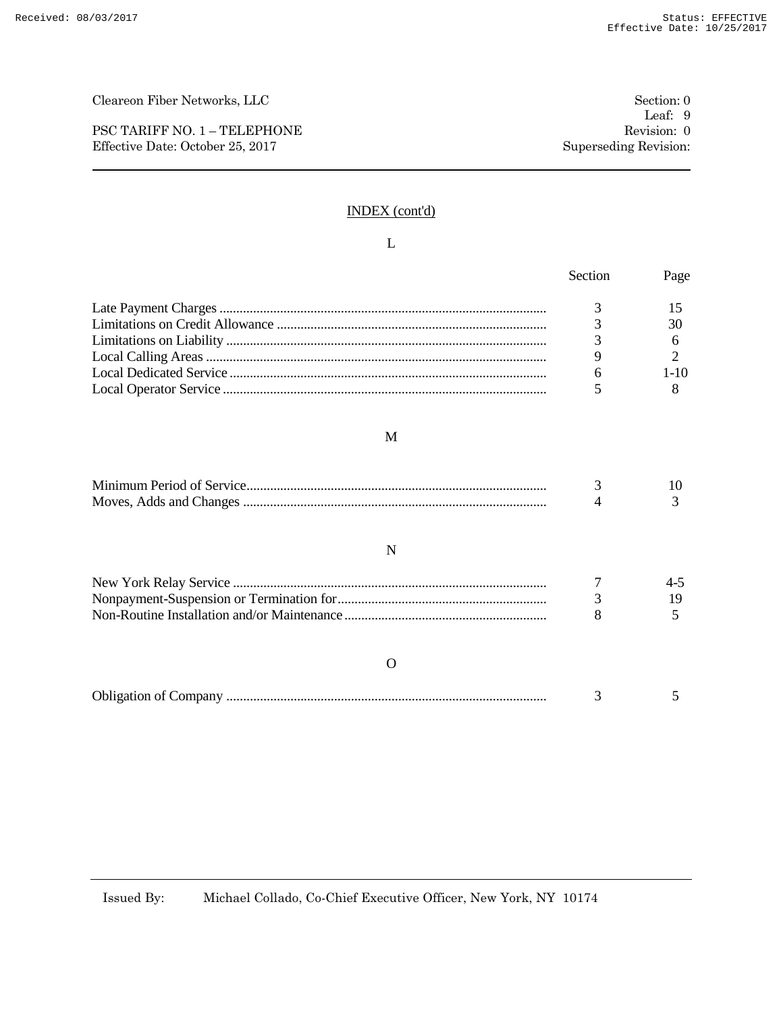PSC TARIFF NO. 1 – TELEPHONE Revision: 0 Effective Date: October 25, 2017 Superseding Revision:

### INDEX (cont'd)

#### L

|   | Section | Page    |
|---|---------|---------|
|   | 3       | 15      |
|   | 3       | 30      |
|   |         | 6       |
|   | 9       | 2       |
|   | 6       | $1-10$  |
|   |         | 8       |
| M |         |         |
|   | 3       | 10      |
|   |         | 3       |
| N |         |         |
|   |         | $4 - 5$ |
|   | 3       | 19      |
|   |         | 5       |

#### O

| <b>Obligation of Company</b> |
|------------------------------|
|------------------------------|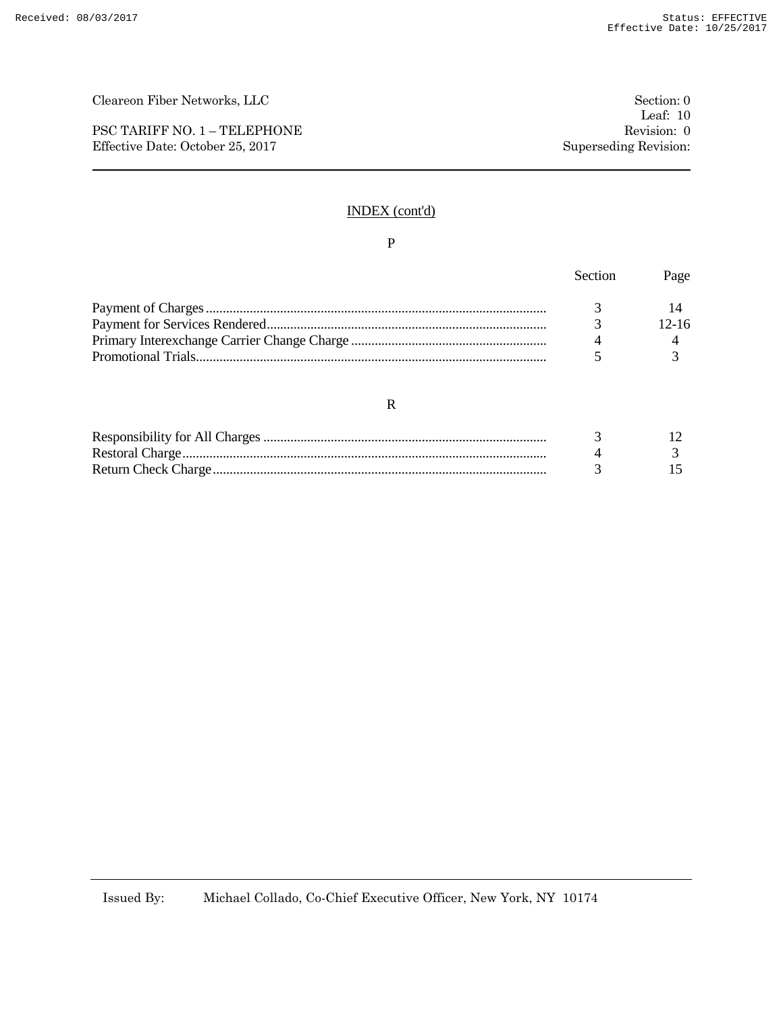PSC TARIFF NO. 1 – TELEPHONE Revision: 0 Effective Date: October 25, 2017 Superseding Revision:

### INDEX (cont'd)

#### P

| Section       | Page    |
|---------------|---------|
|               |         |
| $\mathcal{R}$ | $12-16$ |
|               |         |
|               |         |

#### R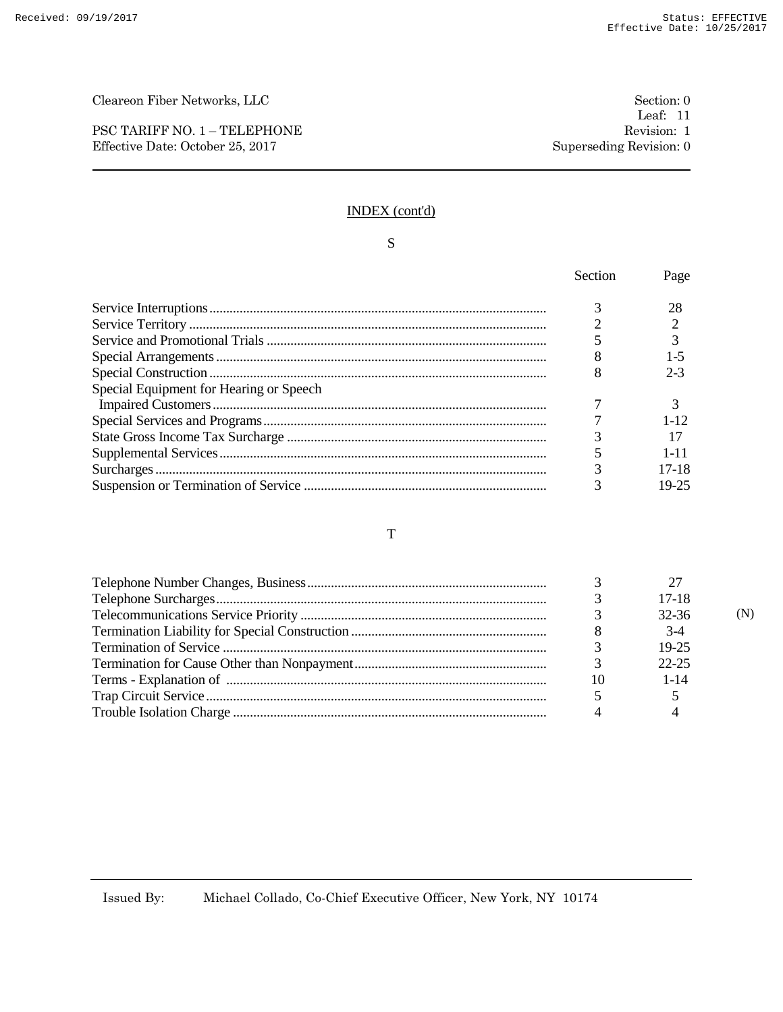PSC TARIFF NO. 1 – TELEPHONE Revision: 1 Effective Date: October 25, 2017 Superseding Revision: 0

### INDEX (cont'd)

# S

|                                         | Section | Page     |
|-----------------------------------------|---------|----------|
|                                         |         | 28       |
|                                         |         |          |
|                                         |         |          |
|                                         |         | 1-5      |
|                                         |         | $2-3$    |
| Special Equipment for Hearing or Speech |         |          |
|                                         |         |          |
|                                         |         | $1 - 12$ |
|                                         |         |          |
|                                         |         | $1 - 11$ |
|                                         |         | $17-18$  |
|                                         |         | 19-25    |

#### T

|    | $17-18$   |  |
|----|-----------|--|
|    | 32-36     |  |
|    | $3-4$     |  |
|    | 19-25     |  |
|    | $22 - 25$ |  |
| 10 | $1 - 14$  |  |
|    |           |  |
|    |           |  |